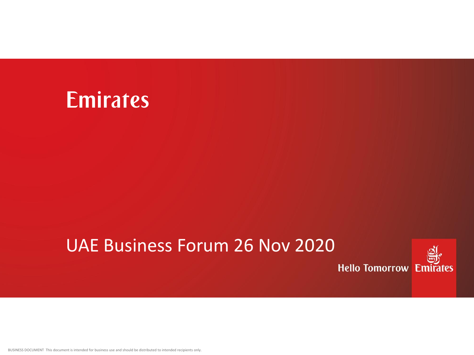### Emirates

### UAE Business Forum 26 Nov 2020



BUSINESS DOCUMENT This document is intended for business use and should be distributed to intended recipients only.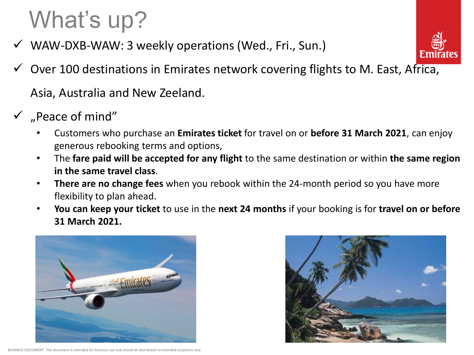# What's up?

WAW-DXB-WAW: 3 weekly operations (Wed., Fri., Sun.)



Over 100 destinations in Emirates network covering flights to M. East, Africa,

Asia, Australia and New Zeeland.

- $\checkmark$  "Peace of mind"
	- Customers who purchase an **Emirates ticket** for travel on or **before 31 March 2021**, can enjoy generous rebooking terms and options,
	- The **fare paid will be accepted for any flight** to the same destination or within **the same region in the same travel class**.
	- **There are no change fees** when you rebook within the 24-month period so you have more flexibility to plan ahead.
	- **You can keep your ticket** to use in the **next 24 months** if your booking is for **travel on or before 31 March 2021.**





BUSINESS DOCUMENT This document is intended for business use and should be distributed to intended re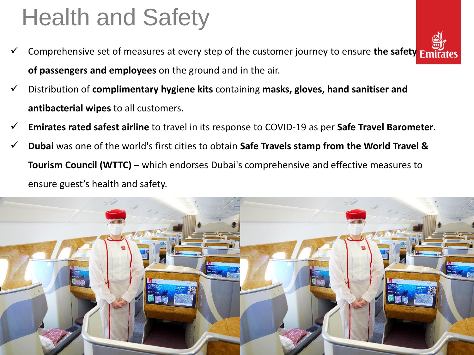# Health and Safety

- Comprehensive set of measures at every step of the customer journey to ensure **the safety of passengers and employees** on the ground and in the air.
- Distribution of **complimentary hygiene kits** containing **masks, gloves, hand sanitiser and antibacterial wipes** to all customers.
- **Emirates rated safest airline** to travel in its response to COVID-19 as per **Safe Travel Barometer**.
- **Dubai** was one of the world's first cities to obtain **Safe Travels stamp from the World Travel & Tourism Council (WTTC)** – which endorses Dubai's comprehensive and effective measures to ensure guest's health and safety.



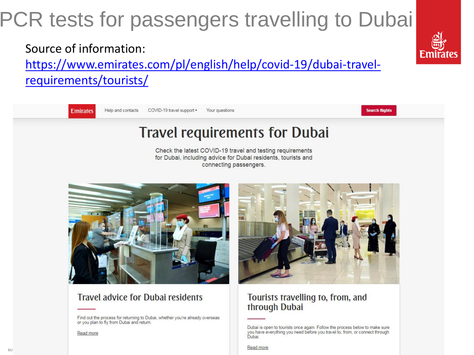## PCR tests for passengers travelling to Dubai

Source of information:

https://www.emirates.com/pl/english/help/covid-19/dubai-travelrequirements/tourists/

**Emirates** 

Help and contacts COVID-19 travel support . Your questions

### **Travel requirements for Dubai**

Check the latest COVID-19 travel and testing requirements for Dubai, including advice for Dubai residents, tourists and connecting passengers.



#### **Travel advice for Dubai residents**

Find out the process for returning to Dubai, whether you're already overseas or you plan to fly from Dubai and return.

Read more

**BU** 



#### Tourists travelling to, from, and through Dubai

Read more



**Search flights** 

Dubai is open to tourists once again. Follow the process below to make sure you have everything you need before you travel to, from, or connect through Dubai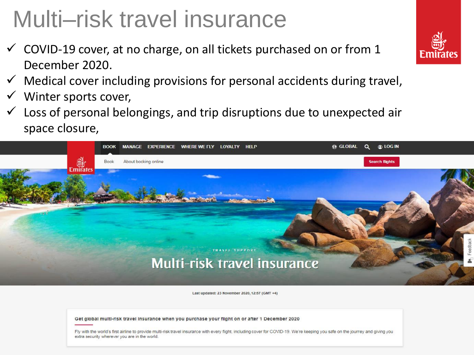# Multi–risk travel insurance

- $\checkmark$  COVID-19 cover, at no charge, on all tickets purchased on or from 1 December 2020.
- $\checkmark$  Medical cover including provisions for personal accidents during travel,
- Winter sports cover,
- $\checkmark$  Loss of personal belongings, and trip disruptions due to unexpected air space closure,



Last updated: 23 November 2020, 12:57 (GMT +4)

Get global multi-risk travel insurance when you purchase your flight on or after 1 December 2020

Fly with the world's first airline to provide multi-risk travel insurance with every flight, including cover for COVID-19. We're keeping you safe on the journey and giving you extra security wherever you are in the world.